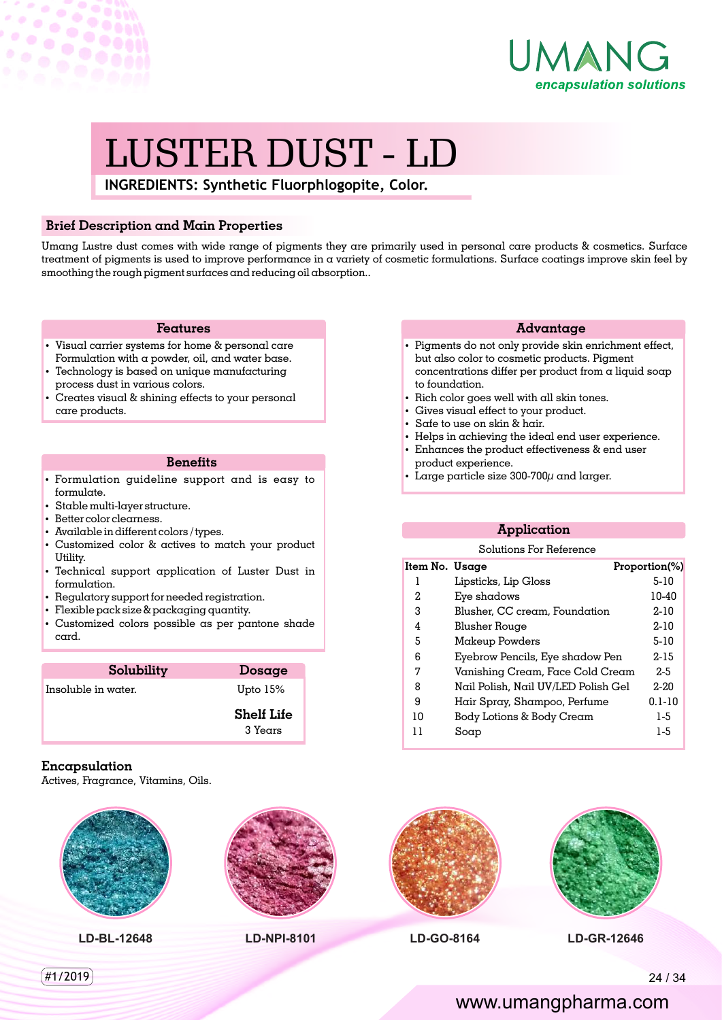

# LUSTER DUST - LD

**INGREDIENTS: Synthetic Fluorphlogopite, Color.**

#### **Brief Description and Main Properties**

Umang Lustre dust comes with wide range of pigments they are primarily used in personal care products & cosmetics. Surface treatment of pigments is used to improve performance in a variety of cosmetic formulations. Surface coatings improve skin feel by smoothing the rough pigment surfaces and reducing oil absorption..

#### **Features**

- Visual carrier systems for home & personal care Formulation with a powder, oil, and water base.
- Technology is based on unique manufacturing process dust in various colors.
- Creates visual & shining effects to your personal care products.

#### **Benets**

- · Formulation guideline support and is easy to formulate.
- $\cdot$  Stable multi-layer structure.
- Better color clearness.

 $\sim$ 

ö

- $\bullet$  Available in different colors / types.
- Customized color & actives to match your product Utility.
- Technical support application of Luster Dust in formulation.
- Regulatory support for needed registration.
- $\cdot$  Flexible pack size & packaging quantity.
- Customized colors possible as per pantone shade card.

| Solubility          | Dosage                       |
|---------------------|------------------------------|
| Insoluble in water. | Upto $15%$                   |
|                     | <b>Shelf Life</b><br>3 Years |

#### **Encapsulation**

Actives, Fragrance, Vitamins, Oils.

**LD-BL-12648 LD-NPI-8101 LD-GO-8164 LD-GR-12646**

#### **Advantage**

- Pigments do not only provide skin enrichment effect, but also color to cosmetic products. Pigment concentrations differ per product from a liquid soap to foundation.
- Rich color goes well with all skin tones.
- Gives visual effect to your product.
- $\cdot$  Safe to use on skin & hair.
- Helps in achieving the ideal end user experience.
- Enhances the product effectiveness & end user product experience.
- Large particle size  $300-700\mu$  and larger.

### **Application**

#### Solutions For Reference

| Item No.  Usage |                                     | Proportion(%) |
|-----------------|-------------------------------------|---------------|
| 1               | Lipsticks, Lip Gloss                | $5-10$        |
| 2.              | Eye shadows                         | 10-40         |
| З               | Blusher, CC cream, Foundation       | $2 - 10$      |
| 4               | Blusher Rouge                       | $2 - 10$      |
| 5               | Makeup Powders                      | $5-10$        |
| 6               | Eyebrow Pencils, Eye shadow Pen     | 2-15          |
| 7               | Vanishing Cream, Face Cold Cream    | $2-5$         |
| 8               | Nail Polish, Nail UV/LED Polish Gel | $2 - 20$      |
| 9               | Hair Spray, Shampoo, Perfume        | $0.1 - 10$    |
| 10              | Body Lotions & Body Cream           | 1-5           |
|                 | Soap                                | 1-5           |
|                 |                                     |               |



## www.umangpharma.com